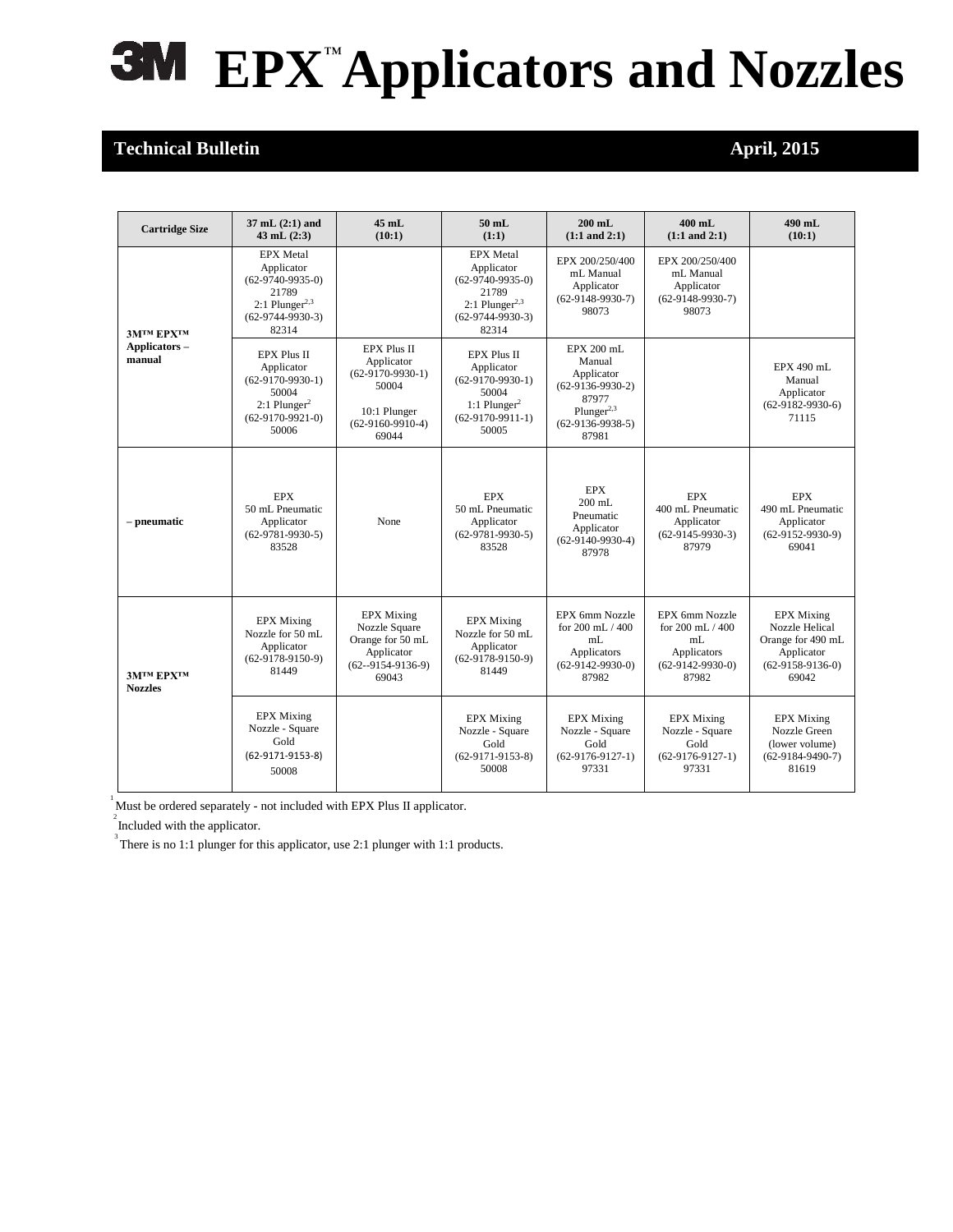## **EPX**™**Applicators and Nozzles**

## **Technical Bulletin April, 2015**

| <b>Cartridge Size</b>                 | $37 \text{ mL} (2:1)$ and<br>$43$ mL $(2:3)$                                                                                 | $45$ mL<br>(10:1)                                                                                              | $50$ mL<br>(1:1)                                                                                                             | $200$ mL<br>$(1:1 \text{ and } 2:1)$                                                                                       | $400$ mL<br>$(1:1 \text{ and } 2:1)$                                                             | 490 mL<br>(10:1)                                                                                      |
|---------------------------------------|------------------------------------------------------------------------------------------------------------------------------|----------------------------------------------------------------------------------------------------------------|------------------------------------------------------------------------------------------------------------------------------|----------------------------------------------------------------------------------------------------------------------------|--------------------------------------------------------------------------------------------------|-------------------------------------------------------------------------------------------------------|
| ЗМТМ ЕРХТМ<br>Applicators -<br>manual | <b>EPX</b> Metal<br>Applicator<br>$(62-9740-9935-0)$<br>21789<br>$2:1$ Plunger <sup>2,3</sup><br>$(62-9744-9930-3)$<br>82314 |                                                                                                                | <b>EPX</b> Metal<br>Applicator<br>$(62-9740-9935-0)$<br>21789<br>$2:1$ Plunger <sup>2,3</sup><br>$(62-9744-9930-3)$<br>82314 | EPX 200/250/400<br>mL Manual<br>Applicator<br>$(62-9148-9930-7)$<br>98073                                                  | EPX 200/250/400<br>mL Manual<br>Applicator<br>$(62-9148-9930-7)$<br>98073                        |                                                                                                       |
|                                       | <b>EPX Plus II</b><br>Applicator<br>$(62-9170-9930-1)$<br>50004<br>$2:1$ Plunger <sup>2</sup><br>$(62-9170-9921-0)$<br>50006 | <b>EPX Plus II</b><br>Applicator<br>$(62-9170-9930-1)$<br>50004<br>10:1 Plunger<br>$(62-9160-9910-4)$<br>69044 | EPX Plus II<br>Applicator<br>$(62-9170-9930-1)$<br>50004<br>1:1 Plunger <sup>2</sup><br>$(62-9170-9911-1)$<br>50005          | EPX 200 mL<br>Manual<br>Applicator<br>$(62-9136-9930-2)$<br>87977<br>Plunger <sup>2,3</sup><br>$(62-9136-9938-5)$<br>87981 |                                                                                                  | EPX 490 mL<br>Manual<br>Applicator<br>$(62-9182-9930-6)$<br>71115                                     |
| – pneumatic                           | <b>EPX</b><br>50 mL Pneumatic<br>Applicator<br>$(62-9781-9930-5)$<br>83528                                                   | None                                                                                                           | <b>EPX</b><br>50 mL Pneumatic<br>Applicator<br>$(62-9781-9930-5)$<br>83528                                                   | <b>EPX</b><br>$200$ mL<br>Pneumatic<br>Applicator<br>$(62-9140-9930-4)$<br>87978                                           | <b>EPX</b><br>400 mL Pneumatic<br>Applicator<br>$(62-9145-9930-3)$<br>87979                      | <b>EPX</b><br>490 mL Pneumatic<br>Applicator<br>$(62-9152-9930-9)$<br>69041                           |
| ЗМТМ ЕРХТМ<br><b>Nozzles</b>          | <b>EPX</b> Mixing<br>Nozzle for 50 mL<br>Applicator<br>$(62-9178-9150-9)$<br>81449                                           | <b>EPX</b> Mixing<br>Nozzle Square<br>Orange for 50 mL<br>Applicator<br>$(62 - 9154 - 9136 - 9)$<br>69043      | <b>EPX</b> Mixing<br>Nozzle for 50 mL<br>Applicator<br>$(62-9178-9150-9)$<br>81449                                           | EPX 6mm Nozzle<br>for $200 \text{ mL} / 400$<br>mL<br>Applicators<br>$(62-9142-9930-0)$<br>87982                           | EPX 6mm Nozzle<br>for $200 \text{ mL} / 400$<br>mL<br>Applicators<br>$(62-9142-9930-0)$<br>87982 | <b>EPX Mixing</b><br>Nozzle Helical<br>Orange for 490 mL<br>Applicator<br>$(62-9158-9136-0)$<br>69042 |
|                                       | <b>EPX</b> Mixing<br>Nozzle - Square<br>Gold<br>$(62-9171-9153-8)$<br>50008                                                  |                                                                                                                | <b>EPX</b> Mixing<br>Nozzle - Square<br>Gold<br>$(62-9171-9153-8)$<br>50008                                                  | <b>EPX</b> Mixing<br>Nozzle - Square<br>Gold<br>$(62-9176-9127-1)$<br>97331                                                | <b>EPX</b> Mixing<br>Nozzle - Square<br>Gold<br>$(62-9176-9127-1)$<br>97331                      | <b>EPX</b> Mixing<br>Nozzle Green<br>(lower volume)<br>$(62-9184-9490-7)$<br>81619                    |

 $1$  Must be ordered separately - not included with EPX Plus II applicator.

 $2^{2}$  Included with the applicator.

 $3^3$  There is no 1:1 plunger for this applicator, use 2:1 plunger with 1:1 products.